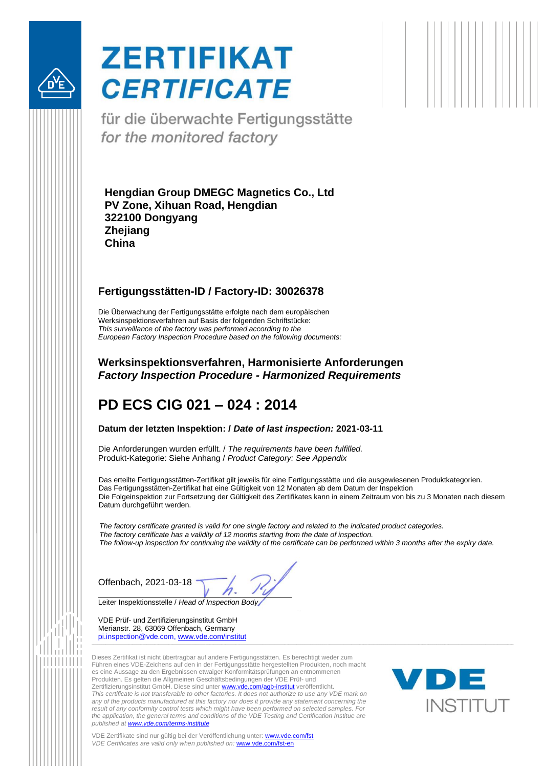

# **ZERTIFIKAT CERTIFICATE**

für die überwachte Fertigungsstätte for the monitored factory

<span id="page-0-5"></span><span id="page-0-4"></span><span id="page-0-3"></span><span id="page-0-2"></span>**Hengdian Group DMEGC Magnetics Co., Ltd PV Zone, Xihuan Road, Hengdian 322100 Dongyang Zhejiang China**

#### <span id="page-0-7"></span><span id="page-0-6"></span><span id="page-0-0"></span>**Fertigungsstätten-ID / Factory-ID: 30026378**

Die Überwachung der Fertigungsstätte erfolgte nach dem europäischen Werksinspektionsverfahren auf Basis der folgenden Schriftstücke: *This surveillance of the factory was performed according to the European Factory Inspection Procedure based on the following documents:*

#### **Werksinspektionsverfahren, Harmonisierte Anforderungen** *Factory Inspection Procedure - Harmonized Requirements*

## **PD ECS CIG 021 – 024 : 2014**

#### <span id="page-0-8"></span>**Datum der letzten Inspektion: /** *Date of last inspection:* **2021-03-11**

Die Anforderungen wurden erfüllt. / *The requirements have been fulfilled.* Produkt-Kategorie: Siehe Anhang / *Product Category: See Appendix*

Das erteilte Fertigungsstätten-Zertifikat gilt jeweils für eine Fertigungsstätte und die ausgewiesenen Produktkategorien. Das Fertigungsstätten-Zertifikat hat eine Gültigkeit von 12 Monaten ab dem Datum der Inspektion Die Folgeinspektion zur Fortsetzung der Gültigkeit des Zertifikates kann in einem Zeitraum von bis zu 3 Monaten nach diesem Datum durchgeführt werden.

*The factory certificate granted is valid for one single factory and related to the indicated product categories. The factory certificate has a validity of 12 months starting from the date of inspection. The follow-up inspection for continuing the validity of the certificate can be performed within 3 months after the expiry date.*

<span id="page-0-1"></span>Offenbach, 2021-03-18

Leiter Inspektionsstelle / *Head of Inspection Body*

VDE Prüf- und Zertifizierungsinstitut GmbH Merianstr. 28, 63069 Offenbach, Germany pi.inspection@vde.com, [www.vde.com/institut](http://www.vde.com/institut) \_\_\_\_\_\_\_\_\_\_\_\_\_\_\_\_\_\_\_\_\_\_\_\_\_\_\_\_\_\_\_\_\_\_\_\_\_\_\_\_\_\_\_\_\_\_\_\_\_\_\_\_\_\_\_\_\_\_\_\_\_\_\_\_\_\_\_\_\_\_\_\_\_\_\_\_\_\_\_\_\_\_\_\_\_\_\_\_\_\_\_\_\_\_\_\_\_\_\_\_\_\_\_\_\_\_\_\_\_\_\_\_\_\_\_\_\_\_\_\_\_\_\_\_\_\_\_\_\_\_\_\_\_\_\_\_\_\_\_\_\_\_\_\_\_\_\_\_\_\_\_\_\_\_\_\_\_\_\_\_\_\_\_\_\_\_\_\_\_\_\_\_\_\_\_\_\_\_\_\_\_\_\_\_\_\_\_\_\_\_\_\_\_\_\_\_\_\_\_\_\_\_\_\_\_\_\_\_

Dieses Zertifikat ist nicht übertragbar auf andere Fertigungsstätten. Es berechtigt weder zum Führen eines VDE-Zeichens auf den in der Fertigungsstätte hergestellten Produkten, noch macht es eine Aussage zu den Ergebnissen etwaiger Konformitätsprüfungen an entnommenen Produkten. Es gelten die Allgmeinen Geschäftsbedingungen der VDE Prüf- und Zertifizierungsinstitut GmbH. Diese sind unter [www.vde.com/agb-institut](http://www.vde.com/agb-institut) veröffentlicht. *This certificate is not transferable to other factories. It does not authorize to use any VDE mark on any of the products manufactured at this factory nor does it provide any statement concerning the result of any conformity control tests which might have been performed on selected samples. For the application, the general terms and conditions of the VDE Testing and Certification Institue are published at [www.vde.com/terms-institute](http://www.vde.com/terms-institute)*



VDE Zertifikate sind nur gültig bei der Veröffentlichung unter: [www.vde.com/fst](http://www.vde.com/fst) *VDE Certificates are valid only when published on:* [www.vde.com/fst-en](http://www.vde.com/fst-en)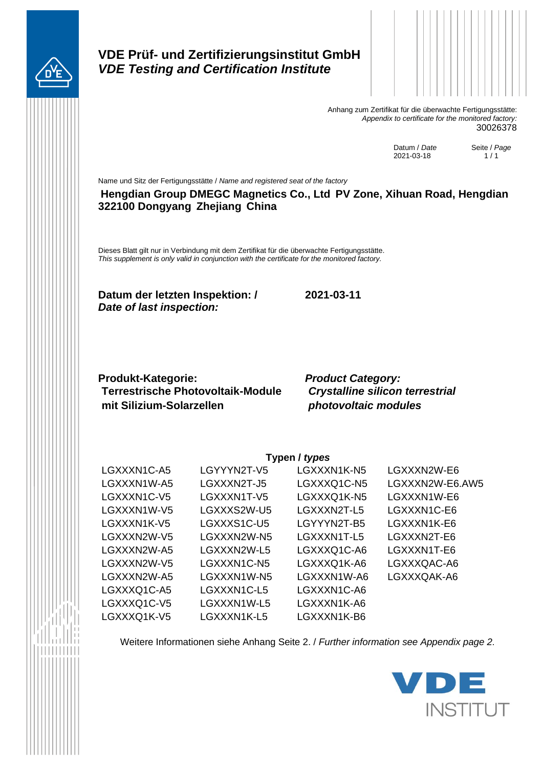

## **VDE Prüf- und Zertifizierungsinstitut GmbH** *VDE Testing and Certification Institute*



Anhang zum Zertifikat für die überwachte Fertigungsstätte: *Appendix to certificate for the monitored factory:* [30026378](#page-0-0)

> Datum / *Date* [2021-03-18](#page-0-1)

Seite / *Page*  $1/1$ 

Name und Sitz der Fertigungsstätte / *Name and registered seat of the factory* **[Hengdian Group DMEGC Magnetics Co., Ltd](#page-0-2) [PV Zone, Xihuan Road, Hengdian](#page-0-3) [322100 Dongyang](#page-0-4) [Zhejiang](#page-0-5) [China](#page-0-6)**

Dieses Blatt gilt nur in Verbindung mit dem Zertifikat für die überwachte Fertigungsstätte. *This supplement is only valid in conjunction with the certificate for the monitored factory.*

**Datum der letzten Inspektion: / [2021-03-11](#page-0-8)** *Date of last inspection:* 

**Produkt-Kategorie:** *Product Category:* **Terrestrische Photovoltaik-Module mit Silizium-Solarzellen**

*Crystalline silicon terrestrial photovoltaic modules*

**Typen /** *types*

| $I$ y public $I$ |             |             |                 |  |  |
|------------------|-------------|-------------|-----------------|--|--|
| LGXXXN1C-A5      | LGYYYN2T-V5 | LGXXXN1K-N5 | LGXXXN2W-E6     |  |  |
| LGXXXN1W-A5      | LGXXXN2T-J5 | LGXXXQ1C-N5 | LGXXXN2W-E6.AW5 |  |  |
| LGXXXN1C-V5      | LGXXXN1T-V5 | LGXXXQ1K-N5 | LGXXXN1W-E6     |  |  |
| LGXXXN1W-V5      | LGXXXS2W-U5 | LGXXXN2T-L5 | LGXXXN1C-E6     |  |  |
| LGXXXN1K-V5      | LGXXXS1C-U5 | LGYYYN2T-B5 | LGXXXN1K-E6     |  |  |
| LGXXXN2W-V5      | LGXXXN2W-N5 | LGXXXN1T-L5 | LGXXXN2T-E6     |  |  |
| LGXXXN2W-A5      | LGXXXN2W-L5 | LGXXXQ1C-A6 | LGXXXN1T-E6     |  |  |
| LGXXXN2W-V5      | LGXXXN1C-N5 | LGXXXQ1K-A6 | LGXXXQAC-A6     |  |  |
| LGXXXN2W-A5      | LGXXXN1W-N5 | LGXXXN1W-A6 | LGXXXQAK-A6     |  |  |
| LGXXXQ1C-A5      | LGXXXN1C-L5 | LGXXXN1C-A6 |                 |  |  |
| LGXXXQ1C-V5      | LGXXXN1W-L5 | LGXXXN1K-A6 |                 |  |  |
| LGXXXQ1K-V5      | LGXXXN1K-L5 | LGXXXN1K-B6 |                 |  |  |

Weitere Informationen siehe Anhang Seite 2. / *Further information see Appendix page 2.*

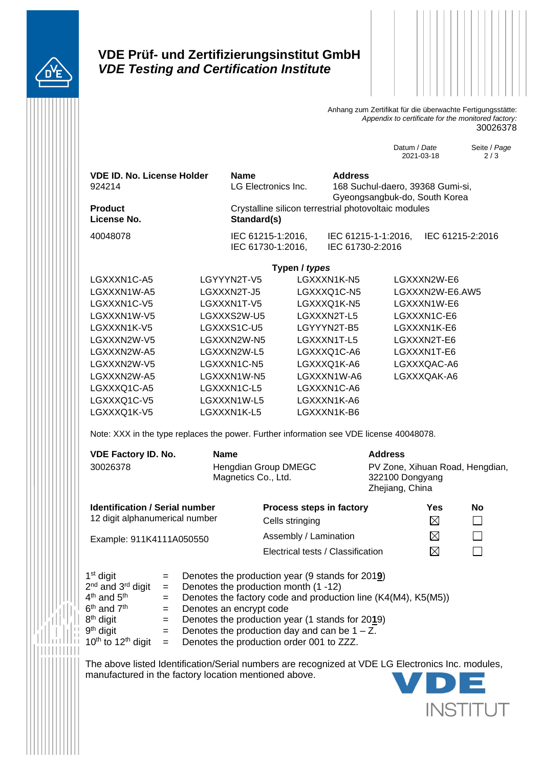

### **VDE Prüf- und Zertifizierungsinstitut GmbH** *VDE Testing and Certification Institute*



Anhang zum Zertifikat für die überwachte Fertigungsstätte: *Appendix to certificate for the monitored factory:* [30026378](#page-0-0)

> Datum / *Date* 2021-03-18

Seite / *Page* 2 / 3

| <b>VDE ID. No. License Holder</b><br>924214 | <b>Name</b><br>LG Electronics Inc.                                  | <b>Address</b><br>168 Suchul-daero, 39368 Gumi-si,<br>Gyeongsangbuk-do, South Korea |                  |  |  |
|---------------------------------------------|---------------------------------------------------------------------|-------------------------------------------------------------------------------------|------------------|--|--|
| <b>Product</b><br>License No.               | Crystalline silicon terrestrial photovoltaic modules<br>Standard(s) |                                                                                     |                  |  |  |
| 40048078                                    | IEC 61215-1:2016,<br>IEC 61730-1:2016,                              | IEC 61215-1-1:2016,<br>IEC 61730-2:2016                                             | IEC 61215-2:2016 |  |  |
| Typen / types                               |                                                                     |                                                                                     |                  |  |  |

LGXXXN1C-A5 LGYYYN2T-V5 LGXXXN1K-N5 LGXXXN2W-E6 LGXXXN1W-A5 LGXXXN2T-J5 LGXXXQ1C-N5 LGXXXN2W-E6.AW5 LGXXXN1C-V5 LGXXXN1T-V5 LGXXXQ1K-N5 LGXXXN1W-E6 LGXXXN1W-V5 LGXXXS2W-U5 LGXXXN2T-L5 LGXXXN1C-E6 LGXXXN1K-V5 LGXXXS1C-U5 LGYYYN2T-B5 LGXXXN1K-E6 LGXXXN2W-V5 LGXXXN2W-N5 LGXXXN1T-L5 LGXXXN2T-E6 LGXXXN2W-A5 LGXXXN2W-L5 LGXXXQ1C-A6 LGXXXN1T-E6 LGXXXN2W-V5 LGXXXN1C-N5 LGXXXQ1K-A6 LGXXXQAC-A6 LGXXXN2W-A5 LGXXXN1W-N5 LGXXXN1W-A6 LGXXXQAK-A6 LGXXXQ1C-A5 LGXXXN1C-L5 LGXXXN1C-A6 LGXXXQ1C-V5 LGXXXN1W-L5 LGXXXN1K-A6 LGXXXQ1K-V5 LGXXXN1K-L5 LGXXXN1K-B6

Note: XXX in the type replaces the power. Further information see VDE license 40048078.

| <b>VDE Factory ID. No.</b>                                              | <b>Name</b>                                 |                          | <b>Address</b>                                                        |     |    |  |
|-------------------------------------------------------------------------|---------------------------------------------|--------------------------|-----------------------------------------------------------------------|-----|----|--|
| 30026378                                                                | Hengdian Group DMEGC<br>Magnetics Co., Ltd. |                          | PV Zone, Xihuan Road, Hengdian,<br>322100 Dongyang<br>Zhejiang, China |     |    |  |
| <b>Identification / Serial number</b><br>12 digit alphanumerical number |                                             | Process steps in factory |                                                                       | Yes | No |  |
|                                                                         |                                             | Cells stringing          |                                                                       | ⊠   |    |  |
| Example: 911K4111A050550                                                |                                             | Assembly / Lamination    |                                                                       | ⊠   |    |  |

Electrical tests / Classification

| $1st$ digit                               | $=$ $-$ | Denotes the production year (9 stands for 2019)               |
|-------------------------------------------|---------|---------------------------------------------------------------|
| 2 <sup>nd</sup> and 3 <sup>rd</sup> digit | $=$ $-$ | Denotes the production month (1 -12)                          |
| 4 <sup>th</sup> and 5 <sup>th</sup>       | $=$ $-$ | Denotes the factory code and production line (K4(M4), K5(M5)) |
| 6 <sup>th</sup> and 7 <sup>th</sup>       |         | $=$ Denotes an encrypt code                                   |
| 8 <sup>th</sup> digit                     | $=$ $-$ | Denotes the production year (1 stands for 2019)               |
| 9 <sup>th</sup> digit                     | $=$ $-$ | Denotes the production day and can be $1 - Z$ .               |
| $10th$ to $12th$ digit                    | $=$ $-$ | Denotes the production order 001 to ZZZ.                      |

The above listed Identification/Serial numbers are recognized at VDE LG Electronics Inc. modules, manufactured in the factory location mentioned above.



 $\boxtimes$ 

 $\Box$